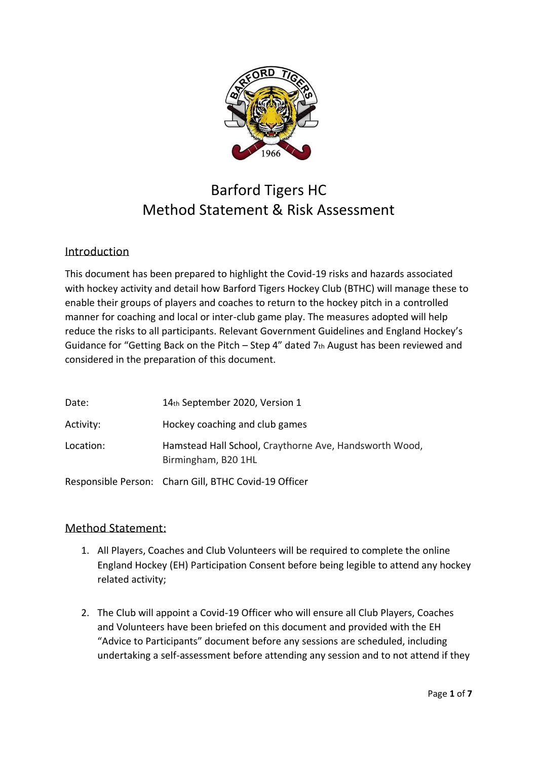

## Barford Tigers HC Method Statement & Risk Assessment

## Introduction

This document has been prepared to highlight the Covid-19 risks and hazards associated with hockey activity and detail how Barford Tigers Hockey Club (BTHC) will manage these to enable their groups of players and coaches to return to the hockey pitch in a controlled manner for coaching and local or inter-club game play. The measures adopted will help reduce the risks to all participants. Relevant Government Guidelines and England Hockey's Guidance for "Getting Back on the Pitch – Step 4" dated 7th August has been reviewed and considered in the preparation of this document.

| Date:     | 14th September 2020, Version 1                                                |
|-----------|-------------------------------------------------------------------------------|
| Activity: | Hockey coaching and club games                                                |
| Location: | Hamstead Hall School, Craythorne Ave, Handsworth Wood,<br>Birmingham, B20 1HL |
|           | Responsible Person: Charn Gill, BTHC Covid-19 Officer                         |

## Method Statement:

- 1. All Players, Coaches and Club Volunteers will be required to complete the online England Hockey (EH) Participation Consent before being legible to attend any hockey related activity;
- 2. The Club will appoint a Covid-19 Officer who will ensure all Club Players, Coaches and Volunteers have been briefed on this document and provided with the EH "Advice to Participants" document before any sessions are scheduled, including undertaking a self-assessment before attending any session and to not attend if they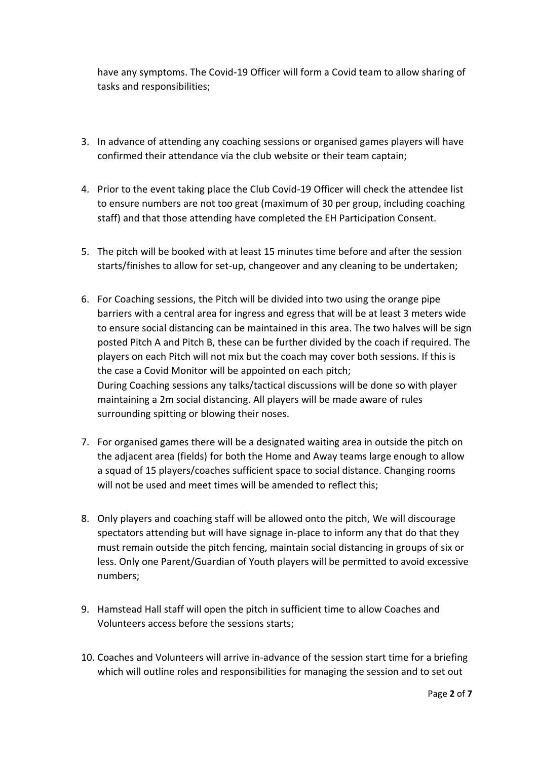have any symptoms. The Covid-19 Officer will form a Covid team to allow sharing of tasks and responsibilities;

- 3. In advance of attending any coaching sessions or organised games players will have confirmed their attendance via the club website or their team captain;
- 4. Prior to the event taking place the Club Covid-19 Officer will check the attendee list to ensure numbers are not too great (maximum of 30 per group, including coaching staff) and that those attending have completed the EH Participation Consent.
- 5. The pitch will be booked with at least 15 minutes time before and after the session starts/finishes to allow for set-up, changeover and any cleaning to be undertaken;
- 6. For Coaching sessions, the Pitch will be divided into two using the orange pipe barriers with a central area for ingress and egress that will be at least 3 meters wide to ensure social distancing can be maintained in this area. The two halves will be sign posted Pitch A and Pitch B, these can be further divided by the coach if required. The players on each Pitch will not mix but the coach may cover both sessions. If this is the case a Covid Monitor will be appointed on each pitch; During Coaching sessions any talks/tactical discussions will be done so with player maintaining a 2m social distancing. All players will be made aware of rules surrounding spitting or blowing their noses.
- 7. For organised games there will be a designated waiting area in outside the pitch on the adjacent area (fields) for both the Home and Away teams large enough to allow a squad of 15 players/coaches sufficient space to social distance. Changing rooms will not be used and meet times will be amended to reflect this;
- 8. Only players and coaching staff will be allowed onto the pitch, We will discourage spectators attending but will have signage in-place to inform any that do that they must remain outside the pitch fencing, maintain social distancing in groups of six or less. Only one Parent/Guardian of Youth players will be permitted to avoid excessive numbers;
- 9. Hamstead Hall staff will open the pitch in sufficient time to allow Coaches and Volunteers access before the sessions starts;
- 10. Coaches and Volunteers will arrive in-advance of the session start time for a briefing which will outline roles and responsibilities for managing the session and to set out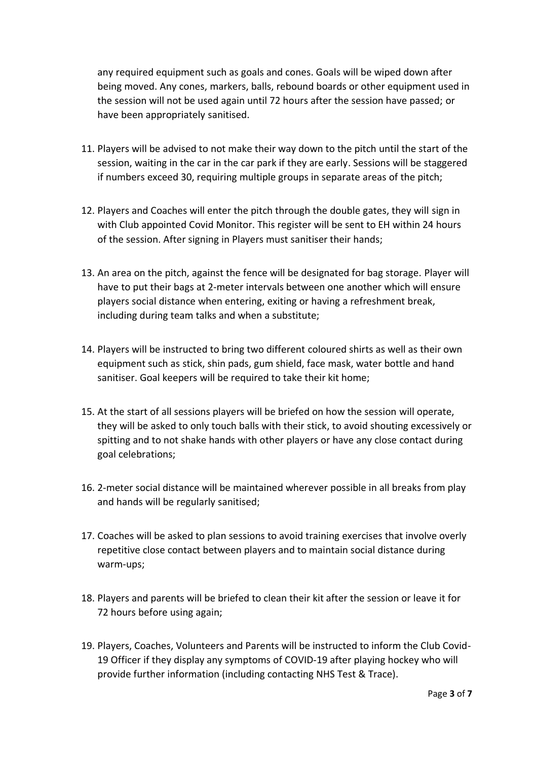any required equipment such as goals and cones. Goals will be wiped down after being moved. Any cones, markers, balls, rebound boards or other equipment used in the session will not be used again until 72 hours after the session have passed; or have been appropriately sanitised.

- 11. Players will be advised to not make their way down to the pitch until the start of the session, waiting in the car in the car park if they are early. Sessions will be staggered if numbers exceed 30, requiring multiple groups in separate areas of the pitch;
- 12. Players and Coaches will enter the pitch through the double gates, they will sign in with Club appointed Covid Monitor. This register will be sent to EH within 24 hours of the session. After signing in Players must sanitiser their hands;
- 13. An area on the pitch, against the fence will be designated for bag storage. Player will have to put their bags at 2-meter intervals between one another which will ensure players social distance when entering, exiting or having a refreshment break, including during team talks and when a substitute;
- 14. Players will be instructed to bring two different coloured shirts as well as their own equipment such as stick, shin pads, gum shield, face mask, water bottle and hand sanitiser. Goal keepers will be required to take their kit home;
- 15. At the start of all sessions players will be briefed on how the session will operate, they will be asked to only touch balls with their stick, to avoid shouting excessively or spitting and to not shake hands with other players or have any close contact during goal celebrations;
- 16. 2-meter social distance will be maintained wherever possible in all breaks from play and hands will be regularly sanitised;
- 17. Coaches will be asked to plan sessions to avoid training exercises that involve overly repetitive close contact between players and to maintain social distance during warm-ups;
- 18. Players and parents will be briefed to clean their kit after the session or leave it for 72 hours before using again;
- 19. Players, Coaches, Volunteers and Parents will be instructed to inform the Club Covid-19 Officer if they display any symptoms of COVID-19 after playing hockey who will provide further information (including contacting NHS Test & Trace).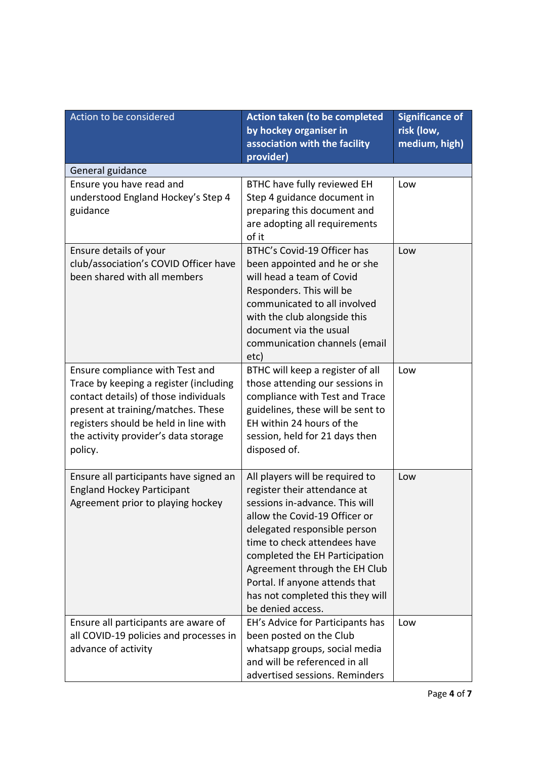| Action to be considered                                                        | <b>Action taken (to be completed</b>                          | <b>Significance of</b> |
|--------------------------------------------------------------------------------|---------------------------------------------------------------|------------------------|
|                                                                                | by hockey organiser in                                        | risk (low,             |
|                                                                                | association with the facility<br>provider)                    | medium, high)          |
| General guidance                                                               |                                                               |                        |
| Ensure you have read and                                                       | BTHC have fully reviewed EH                                   | Low                    |
| understood England Hockey's Step 4                                             | Step 4 guidance document in                                   |                        |
| guidance                                                                       | preparing this document and                                   |                        |
|                                                                                | are adopting all requirements                                 |                        |
|                                                                                | of it<br>BTHC's Covid-19 Officer has                          | Low                    |
| Ensure details of your<br>club/association's COVID Officer have                | been appointed and he or she                                  |                        |
| been shared with all members                                                   | will head a team of Covid                                     |                        |
|                                                                                | Responders. This will be                                      |                        |
|                                                                                | communicated to all involved                                  |                        |
|                                                                                | with the club alongside this                                  |                        |
|                                                                                | document via the usual                                        |                        |
|                                                                                | communication channels (email<br>etc)                         |                        |
| Ensure compliance with Test and                                                | BTHC will keep a register of all                              | Low                    |
| Trace by keeping a register (including                                         | those attending our sessions in                               |                        |
| contact details) of those individuals                                          | compliance with Test and Trace                                |                        |
| present at training/matches. These                                             | guidelines, these will be sent to                             |                        |
| registers should be held in line with                                          | EH within 24 hours of the                                     |                        |
| the activity provider's data storage                                           | session, held for 21 days then<br>disposed of.                |                        |
| policy.                                                                        |                                                               |                        |
| Ensure all participants have signed an                                         | All players will be required to                               | Low                    |
| <b>England Hockey Participant</b>                                              | register their attendance at                                  |                        |
| Agreement prior to playing hockey                                              | sessions in-advance. This will                                |                        |
|                                                                                | allow the Covid-19 Officer or<br>delegated responsible person |                        |
|                                                                                | time to check attendees have                                  |                        |
|                                                                                | completed the EH Participation                                |                        |
|                                                                                | Agreement through the EH Club                                 |                        |
|                                                                                | Portal. If anyone attends that                                |                        |
|                                                                                | has not completed this they will                              |                        |
|                                                                                | be denied access.                                             | Low                    |
| Ensure all participants are aware of<br>all COVID-19 policies and processes in | EH's Advice for Participants has<br>been posted on the Club   |                        |
| advance of activity                                                            | whatsapp groups, social media                                 |                        |
|                                                                                | and will be referenced in all                                 |                        |
|                                                                                | advertised sessions. Reminders                                |                        |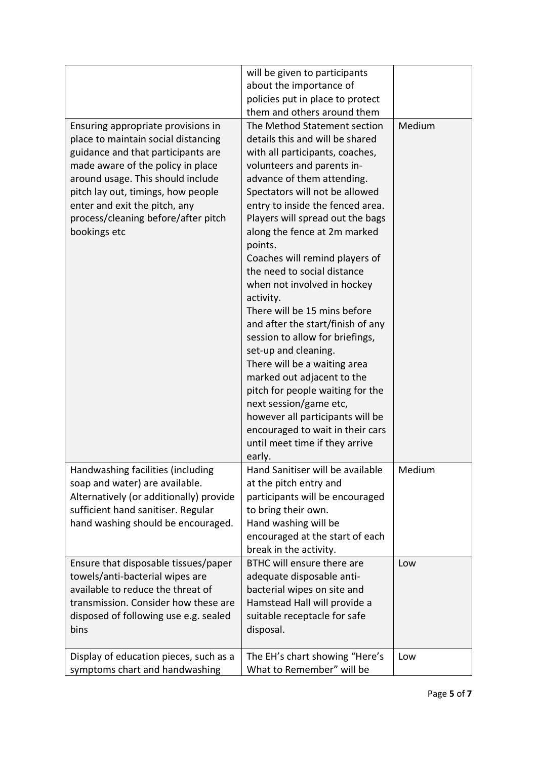|                                         | will be given to participants     |        |
|-----------------------------------------|-----------------------------------|--------|
|                                         | about the importance of           |        |
|                                         | policies put in place to protect  |        |
|                                         | them and others around them       |        |
|                                         | The Method Statement section      | Medium |
| Ensuring appropriate provisions in      |                                   |        |
| place to maintain social distancing     | details this and will be shared   |        |
| guidance and that participants are      | with all participants, coaches,   |        |
| made aware of the policy in place       | volunteers and parents in-        |        |
| around usage. This should include       | advance of them attending.        |        |
| pitch lay out, timings, how people      | Spectators will not be allowed    |        |
| enter and exit the pitch, any           | entry to inside the fenced area.  |        |
| process/cleaning before/after pitch     | Players will spread out the bags  |        |
| bookings etc                            | along the fence at 2m marked      |        |
|                                         | points.                           |        |
|                                         | Coaches will remind players of    |        |
|                                         | the need to social distance       |        |
|                                         | when not involved in hockey       |        |
|                                         | activity.                         |        |
|                                         | There will be 15 mins before      |        |
|                                         | and after the start/finish of any |        |
|                                         | session to allow for briefings,   |        |
|                                         | set-up and cleaning.              |        |
|                                         | There will be a waiting area      |        |
|                                         | marked out adjacent to the        |        |
|                                         | pitch for people waiting for the  |        |
|                                         |                                   |        |
|                                         | next session/game etc,            |        |
|                                         | however all participants will be  |        |
|                                         | encouraged to wait in their cars  |        |
|                                         | until meet time if they arrive    |        |
|                                         | early.                            |        |
| Handwashing facilities (including       | Hand Sanitiser will be available  | Medium |
| soap and water) are available.          | at the pitch entry and            |        |
| Alternatively (or additionally) provide | participants will be encouraged   |        |
| sufficient hand sanitiser. Regular      | to bring their own.               |        |
| hand washing should be encouraged.      | Hand washing will be              |        |
|                                         | encouraged at the start of each   |        |
|                                         | break in the activity.            |        |
| Ensure that disposable tissues/paper    | BTHC will ensure there are        | Low    |
| towels/anti-bacterial wipes are         | adequate disposable anti-         |        |
| available to reduce the threat of       | bacterial wipes on site and       |        |
| transmission. Consider how these are    | Hamstead Hall will provide a      |        |
| disposed of following use e.g. sealed   | suitable receptacle for safe      |        |
| bins                                    | disposal.                         |        |
|                                         |                                   |        |
| Display of education pieces, such as a  | The EH's chart showing "Here's    | Low    |
| symptoms chart and handwashing          | What to Remember" will be         |        |
|                                         |                                   |        |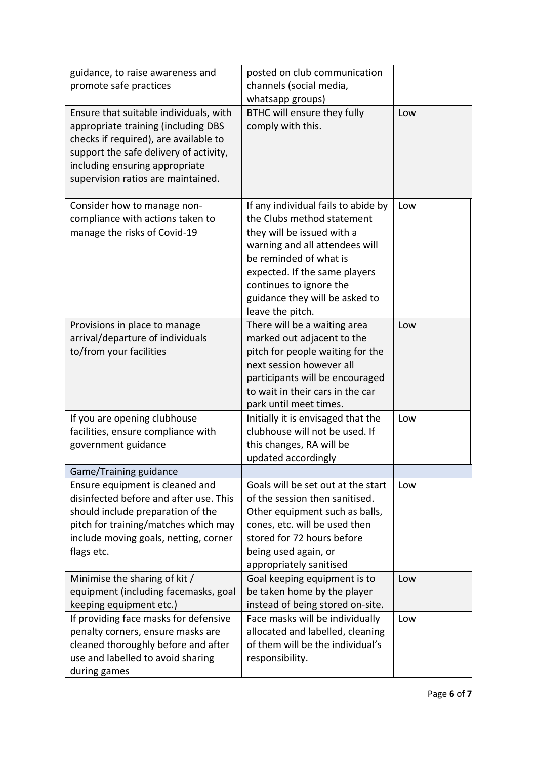| guidance, to raise awareness and<br>promote safe practices                                                                                                                                                                               | posted on club communication<br>channels (social media,<br>whatsapp groups)                                                                                                                                                                                                   |     |
|------------------------------------------------------------------------------------------------------------------------------------------------------------------------------------------------------------------------------------------|-------------------------------------------------------------------------------------------------------------------------------------------------------------------------------------------------------------------------------------------------------------------------------|-----|
| Ensure that suitable individuals, with<br>appropriate training (including DBS<br>checks if required), are available to<br>support the safe delivery of activity,<br>including ensuring appropriate<br>supervision ratios are maintained. | BTHC will ensure they fully<br>comply with this.                                                                                                                                                                                                                              | Low |
| Consider how to manage non-<br>compliance with actions taken to<br>manage the risks of Covid-19                                                                                                                                          | If any individual fails to abide by<br>the Clubs method statement<br>they will be issued with a<br>warning and all attendees will<br>be reminded of what is<br>expected. If the same players<br>continues to ignore the<br>guidance they will be asked to<br>leave the pitch. | Low |
| Provisions in place to manage<br>arrival/departure of individuals<br>to/from your facilities                                                                                                                                             | There will be a waiting area<br>marked out adjacent to the<br>pitch for people waiting for the<br>next session however all<br>participants will be encouraged<br>to wait in their cars in the car<br>park until meet times.                                                   | Low |
| If you are opening clubhouse<br>facilities, ensure compliance with<br>government guidance                                                                                                                                                | Initially it is envisaged that the<br>clubhouse will not be used. If<br>this changes, RA will be<br>updated accordingly                                                                                                                                                       | Low |
| Game/Training guidance                                                                                                                                                                                                                   |                                                                                                                                                                                                                                                                               |     |
| Ensure equipment is cleaned and<br>disinfected before and after use. This<br>should include preparation of the<br>pitch for training/matches which may<br>include moving goals, netting, corner<br>flags etc.                            | Goals will be set out at the start<br>of the session then sanitised.<br>Other equipment such as balls,<br>cones, etc. will be used then<br>stored for 72 hours before<br>being used again, or<br>appropriately sanitised                                                      | Low |
| Minimise the sharing of kit /<br>equipment (including facemasks, goal<br>keeping equipment etc.)                                                                                                                                         | Goal keeping equipment is to<br>be taken home by the player<br>instead of being stored on-site.                                                                                                                                                                               | Low |
| If providing face masks for defensive<br>penalty corners, ensure masks are<br>cleaned thoroughly before and after<br>use and labelled to avoid sharing<br>during games                                                                   | Face masks will be individually<br>allocated and labelled, cleaning<br>of them will be the individual's<br>responsibility.                                                                                                                                                    | Low |